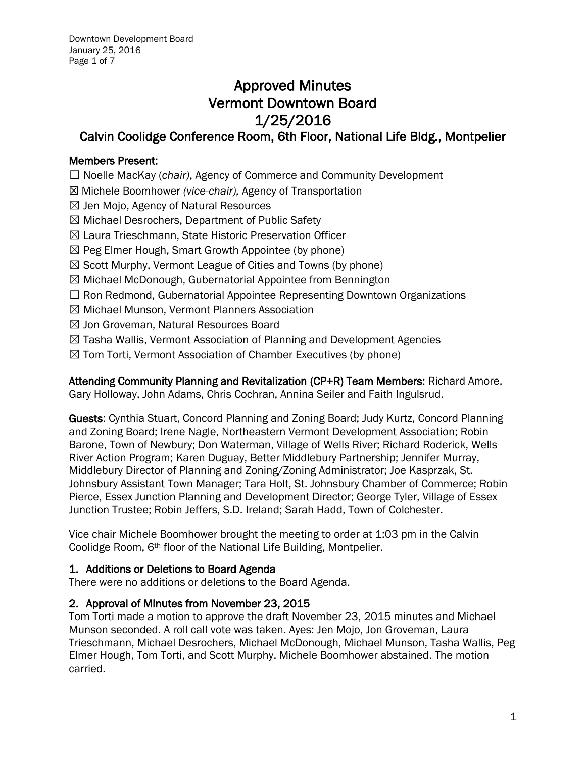# Approved Minutes Vermont Downtown Board 1/25/2016

## Calvin Coolidge Conference Room, 6th Floor, National Life Bldg., Montpelier

## Members Present:

☐ Noelle MacKay (*chair)*, Agency of Commerce and Community Development

- ☒ Michele Boomhower *(vice-chair),* Agency of Transportation
- $\boxtimes$  Jen Mojo, Agency of Natural Resources
- ☒ Michael Desrochers, Department of Public Safety
- ☒ Laura Trieschmann, State Historic Preservation Officer
- $\boxtimes$  Peg Elmer Hough, Smart Growth Appointee (by phone)
- ☒ Scott Murphy, Vermont League of Cities and Towns (by phone)
- ☒ Michael McDonough, Gubernatorial Appointee from Bennington
- □ Ron Redmond, Gubernatorial Appointee Representing Downtown Organizations
- ☒ Michael Munson, Vermont Planners Association
- ☒ Jon Groveman, Natural Resources Board
- $\boxtimes$  Tasha Wallis, Vermont Association of Planning and Development Agencies
- $\boxtimes$  Tom Torti, Vermont Association of Chamber Executives (by phone)

Attending Community Planning and Revitalization (CP+R) Team Members: Richard Amore, Gary Holloway, John Adams, Chris Cochran, Annina Seiler and Faith Ingulsrud.

Guests: Cynthia Stuart, Concord Planning and Zoning Board; Judy Kurtz, Concord Planning and Zoning Board; Irene Nagle, Northeastern Vermont Development Association; Robin Barone, Town of Newbury; Don Waterman, Village of Wells River; Richard Roderick, Wells River Action Program; Karen Duguay, Better Middlebury Partnership; Jennifer Murray, Middlebury Director of Planning and Zoning/Zoning Administrator; Joe Kasprzak, St. Johnsbury Assistant Town Manager; Tara Holt, St. Johnsbury Chamber of Commerce; Robin Pierce, Essex Junction Planning and Development Director; George Tyler, Village of Essex Junction Trustee; Robin Jeffers, S.D. Ireland; Sarah Hadd, Town of Colchester.

Vice chair Michele Boomhower brought the meeting to order at 1:03 pm in the Calvin Coolidge Room, 6th floor of the National Life Building, Montpelier.

## 1. Additions or Deletions to Board Agenda

There were no additions or deletions to the Board Agenda.

## 2. Approval of Minutes from November 23, 2015

Tom Torti made a motion to approve the draft November 23, 2015 minutes and Michael Munson seconded. A roll call vote was taken. Ayes: Jen Mojo, Jon Groveman, Laura Trieschmann, Michael Desrochers, Michael McDonough, Michael Munson, Tasha Wallis, Peg Elmer Hough, Tom Torti, and Scott Murphy. Michele Boomhower abstained. The motion carried.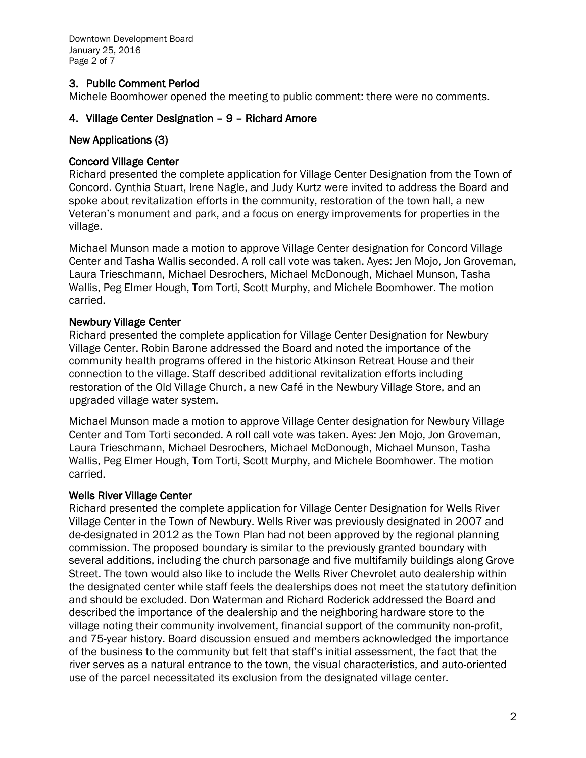Downtown Development Board January 25, 2016 Page 2 of 7

#### 3. Public Comment Period

Michele Boomhower opened the meeting to public comment: there were no comments.

#### 4. Village Center Designation – 9 – Richard Amore

#### New Applications (3)

#### Concord Village Center

Richard presented the complete application for Village Center Designation from the Town of Concord. Cynthia Stuart, Irene Nagle, and Judy Kurtz were invited to address the Board and spoke about revitalization efforts in the community, restoration of the town hall, a new Veteran's monument and park, and a focus on energy improvements for properties in the village.

Michael Munson made a motion to approve Village Center designation for Concord Village Center and Tasha Wallis seconded. A roll call vote was taken. Ayes: Jen Mojo, Jon Groveman, Laura Trieschmann, Michael Desrochers, Michael McDonough, Michael Munson, Tasha Wallis, Peg Elmer Hough, Tom Torti, Scott Murphy, and Michele Boomhower. The motion carried.

#### Newbury Village Center

Richard presented the complete application for Village Center Designation for Newbury Village Center. Robin Barone addressed the Board and noted the importance of the community health programs offered in the historic Atkinson Retreat House and their connection to the village. Staff described additional revitalization efforts including restoration of the Old Village Church, a new Café in the Newbury Village Store, and an upgraded village water system.

Michael Munson made a motion to approve Village Center designation for Newbury Village Center and Tom Torti seconded. A roll call vote was taken. Ayes: Jen Mojo, Jon Groveman, Laura Trieschmann, Michael Desrochers, Michael McDonough, Michael Munson, Tasha Wallis, Peg Elmer Hough, Tom Torti, Scott Murphy, and Michele Boomhower. The motion carried.

#### Wells River Village Center

Richard presented the complete application for Village Center Designation for Wells River Village Center in the Town of Newbury. Wells River was previously designated in 2007 and de-designated in 2012 as the Town Plan had not been approved by the regional planning commission. The proposed boundary is similar to the previously granted boundary with several additions, including the church parsonage and five multifamily buildings along Grove Street. The town would also like to include the Wells River Chevrolet auto dealership within the designated center while staff feels the dealerships does not meet the statutory definition and should be excluded. Don Waterman and Richard Roderick addressed the Board and described the importance of the dealership and the neighboring hardware store to the village noting their community involvement, financial support of the community non-profit, and 75-year history. Board discussion ensued and members acknowledged the importance of the business to the community but felt that staff's initial assessment, the fact that the river serves as a natural entrance to the town, the visual characteristics, and auto-oriented use of the parcel necessitated its exclusion from the designated village center.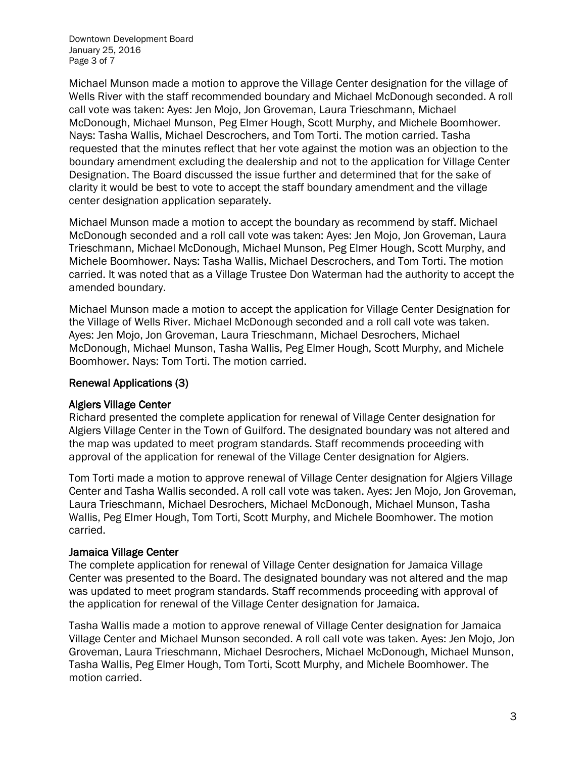Downtown Development Board January 25, 2016 Page 3 of 7

Michael Munson made a motion to approve the Village Center designation for the village of Wells River with the staff recommended boundary and Michael McDonough seconded. A roll call vote was taken: Ayes: Jen Mojo, Jon Groveman, Laura Trieschmann, Michael McDonough, Michael Munson, Peg Elmer Hough, Scott Murphy, and Michele Boomhower. Nays: Tasha Wallis, Michael Descrochers, and Tom Torti. The motion carried. Tasha requested that the minutes reflect that her vote against the motion was an objection to the boundary amendment excluding the dealership and not to the application for Village Center Designation. The Board discussed the issue further and determined that for the sake of clarity it would be best to vote to accept the staff boundary amendment and the village center designation application separately.

Michael Munson made a motion to accept the boundary as recommend by staff. Michael McDonough seconded and a roll call vote was taken: Ayes: Jen Mojo, Jon Groveman, Laura Trieschmann, Michael McDonough, Michael Munson, Peg Elmer Hough, Scott Murphy, and Michele Boomhower. Nays: Tasha Wallis, Michael Descrochers, and Tom Torti. The motion carried. It was noted that as a Village Trustee Don Waterman had the authority to accept the amended boundary.

Michael Munson made a motion to accept the application for Village Center Designation for the Village of Wells River. Michael McDonough seconded and a roll call vote was taken. Ayes: Jen Mojo, Jon Groveman, Laura Trieschmann, Michael Desrochers, Michael McDonough, Michael Munson, Tasha Wallis, Peg Elmer Hough, Scott Murphy, and Michele Boomhower. Nays: Tom Torti. The motion carried.

#### Renewal Applications (3)

#### Algiers Village Center

Richard presented the complete application for renewal of Village Center designation for Algiers Village Center in the Town of Guilford. The designated boundary was not altered and the map was updated to meet program standards. Staff recommends proceeding with approval of the application for renewal of the Village Center designation for Algiers.

Tom Torti made a motion to approve renewal of Village Center designation for Algiers Village Center and Tasha Wallis seconded. A roll call vote was taken. Ayes: Jen Mojo, Jon Groveman, Laura Trieschmann, Michael Desrochers, Michael McDonough, Michael Munson, Tasha Wallis, Peg Elmer Hough, Tom Torti, Scott Murphy, and Michele Boomhower. The motion carried.

#### Jamaica Village Center

The complete application for renewal of Village Center designation for Jamaica Village Center was presented to the Board. The designated boundary was not altered and the map was updated to meet program standards. Staff recommends proceeding with approval of the application for renewal of the Village Center designation for Jamaica.

Tasha Wallis made a motion to approve renewal of Village Center designation for Jamaica Village Center and Michael Munson seconded. A roll call vote was taken. Ayes: Jen Mojo, Jon Groveman, Laura Trieschmann, Michael Desrochers, Michael McDonough, Michael Munson, Tasha Wallis, Peg Elmer Hough, Tom Torti, Scott Murphy, and Michele Boomhower. The motion carried.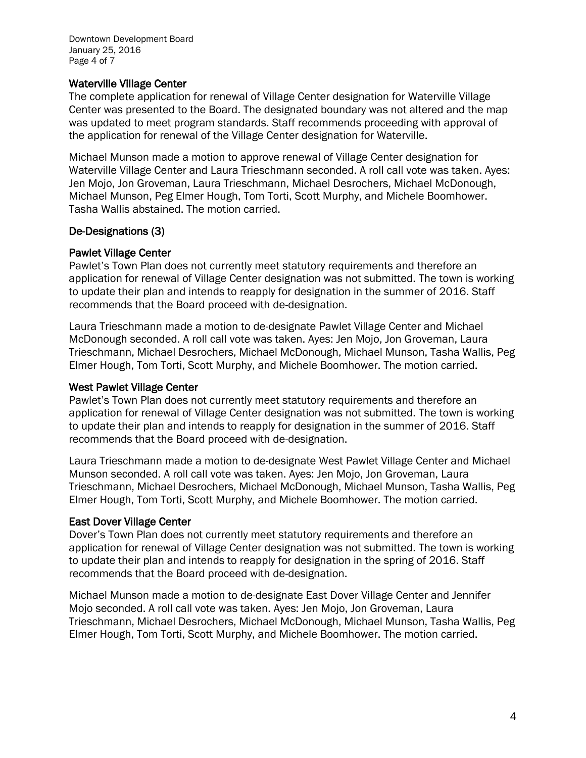#### Waterville Village Center

The complete application for renewal of Village Center designation for Waterville Village Center was presented to the Board. The designated boundary was not altered and the map was updated to meet program standards. Staff recommends proceeding with approval of the application for renewal of the Village Center designation for Waterville.

Michael Munson made a motion to approve renewal of Village Center designation for Waterville Village Center and Laura Trieschmann seconded. A roll call vote was taken. Ayes: Jen Mojo, Jon Groveman, Laura Trieschmann, Michael Desrochers, Michael McDonough, Michael Munson, Peg Elmer Hough, Tom Torti, Scott Murphy, and Michele Boomhower. Tasha Wallis abstained. The motion carried.

#### De-Designations (3)

#### Pawlet Village Center

Pawlet's Town Plan does not currently meet statutory requirements and therefore an application for renewal of Village Center designation was not submitted. The town is working to update their plan and intends to reapply for designation in the summer of 2016. Staff recommends that the Board proceed with de-designation.

Laura Trieschmann made a motion to de-designate Pawlet Village Center and Michael McDonough seconded. A roll call vote was taken. Ayes: Jen Mojo, Jon Groveman, Laura Trieschmann, Michael Desrochers, Michael McDonough, Michael Munson, Tasha Wallis, Peg Elmer Hough, Tom Torti, Scott Murphy, and Michele Boomhower. The motion carried.

#### West Pawlet Village Center

Pawlet's Town Plan does not currently meet statutory requirements and therefore an application for renewal of Village Center designation was not submitted. The town is working to update their plan and intends to reapply for designation in the summer of 2016. Staff recommends that the Board proceed with de-designation.

Laura Trieschmann made a motion to de-designate West Pawlet Village Center and Michael Munson seconded. A roll call vote was taken. Ayes: Jen Mojo, Jon Groveman, Laura Trieschmann, Michael Desrochers, Michael McDonough, Michael Munson, Tasha Wallis, Peg Elmer Hough, Tom Torti, Scott Murphy, and Michele Boomhower. The motion carried.

#### East Dover Village Center

Dover's Town Plan does not currently meet statutory requirements and therefore an application for renewal of Village Center designation was not submitted. The town is working to update their plan and intends to reapply for designation in the spring of 2016. Staff recommends that the Board proceed with de-designation.

Michael Munson made a motion to de-designate East Dover Village Center and Jennifer Mojo seconded. A roll call vote was taken. Ayes: Jen Mojo, Jon Groveman, Laura Trieschmann, Michael Desrochers, Michael McDonough, Michael Munson, Tasha Wallis, Peg Elmer Hough, Tom Torti, Scott Murphy, and Michele Boomhower. The motion carried.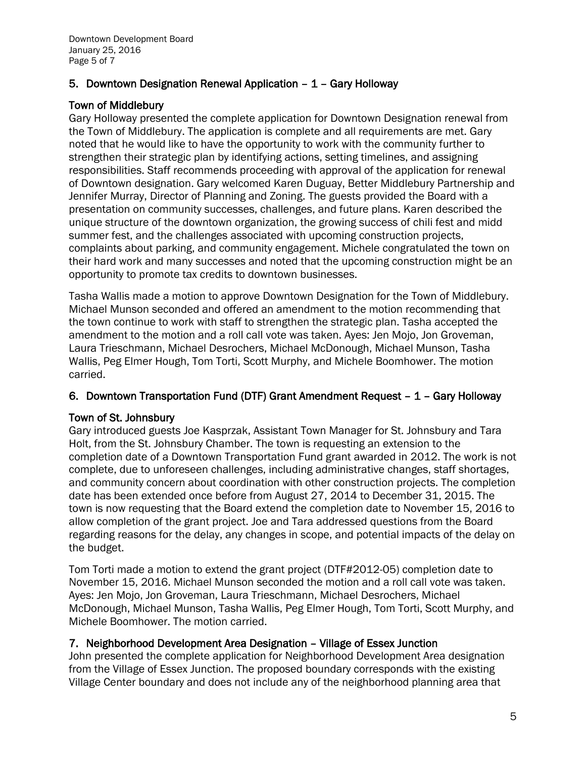## 5. Downtown Designation Renewal Application – 1 – Gary Holloway

## Town of Middlebury

Gary Holloway presented the complete application for Downtown Designation renewal from the Town of Middlebury. The application is complete and all requirements are met. Gary noted that he would like to have the opportunity to work with the community further to strengthen their strategic plan by identifying actions, setting timelines, and assigning responsibilities. Staff recommends proceeding with approval of the application for renewal of Downtown designation. Gary welcomed Karen Duguay, Better Middlebury Partnership and Jennifer Murray, Director of Planning and Zoning. The guests provided the Board with a presentation on community successes, challenges, and future plans. Karen described the unique structure of the downtown organization, the growing success of chili fest and midd summer fest, and the challenges associated with upcoming construction projects, complaints about parking, and community engagement. Michele congratulated the town on their hard work and many successes and noted that the upcoming construction might be an opportunity to promote tax credits to downtown businesses.

Tasha Wallis made a motion to approve Downtown Designation for the Town of Middlebury. Michael Munson seconded and offered an amendment to the motion recommending that the town continue to work with staff to strengthen the strategic plan. Tasha accepted the amendment to the motion and a roll call vote was taken. Ayes: Jen Mojo, Jon Groveman, Laura Trieschmann, Michael Desrochers, Michael McDonough, Michael Munson, Tasha Wallis, Peg Elmer Hough, Tom Torti, Scott Murphy, and Michele Boomhower. The motion carried.

#### 6. Downtown Transportation Fund (DTF) Grant Amendment Request – 1 – Gary Holloway

#### Town of St. Johnsbury

Gary introduced guests Joe Kasprzak, Assistant Town Manager for St. Johnsbury and Tara Holt, from the St. Johnsbury Chamber. The town is requesting an extension to the completion date of a Downtown Transportation Fund grant awarded in 2012. The work is not complete, due to unforeseen challenges, including administrative changes, staff shortages, and community concern about coordination with other construction projects. The completion date has been extended once before from August 27, 2014 to December 31, 2015. The town is now requesting that the Board extend the completion date to November 15, 2016 to allow completion of the grant project. Joe and Tara addressed questions from the Board regarding reasons for the delay, any changes in scope, and potential impacts of the delay on the budget.

Tom Torti made a motion to extend the grant project (DTF#2012-05) completion date to November 15, 2016. Michael Munson seconded the motion and a roll call vote was taken. Ayes: Jen Mojo, Jon Groveman, Laura Trieschmann, Michael Desrochers, Michael McDonough, Michael Munson, Tasha Wallis, Peg Elmer Hough, Tom Torti, Scott Murphy, and Michele Boomhower. The motion carried.

## 7. Neighborhood Development Area Designation – Village of Essex Junction

John presented the complete application for Neighborhood Development Area designation from the Village of Essex Junction. The proposed boundary corresponds with the existing Village Center boundary and does not include any of the neighborhood planning area that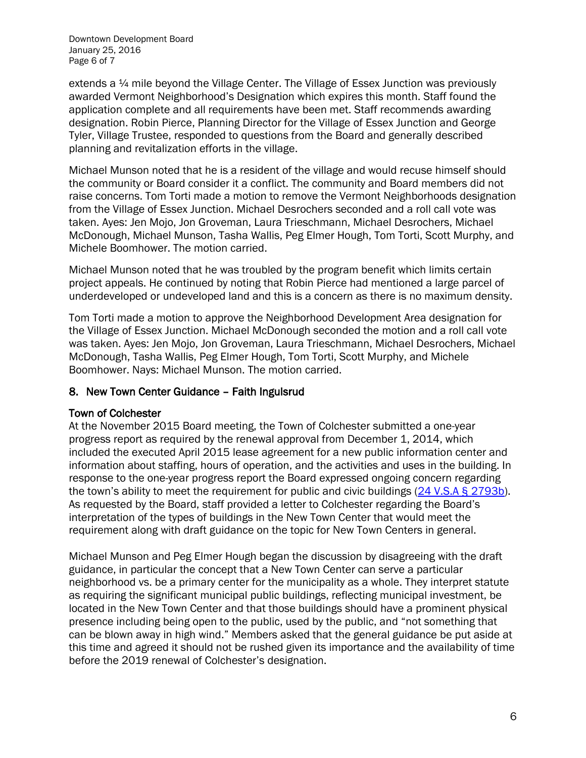Downtown Development Board January 25, 2016 Page 6 of 7

extends a ¼ mile beyond the Village Center. The Village of Essex Junction was previously awarded Vermont Neighborhood's Designation which expires this month. Staff found the application complete and all requirements have been met. Staff recommends awarding designation. Robin Pierce, Planning Director for the Village of Essex Junction and George Tyler, Village Trustee, responded to questions from the Board and generally described planning and revitalization efforts in the village.

Michael Munson noted that he is a resident of the village and would recuse himself should the community or Board consider it a conflict. The community and Board members did not raise concerns. Tom Torti made a motion to remove the Vermont Neighborhoods designation from the Village of Essex Junction. Michael Desrochers seconded and a roll call vote was taken. Ayes: Jen Mojo, Jon Groveman, Laura Trieschmann, Michael Desrochers, Michael McDonough, Michael Munson, Tasha Wallis, Peg Elmer Hough, Tom Torti, Scott Murphy, and Michele Boomhower. The motion carried.

Michael Munson noted that he was troubled by the program benefit which limits certain project appeals. He continued by noting that Robin Pierce had mentioned a large parcel of underdeveloped or undeveloped land and this is a concern as there is no maximum density.

Tom Torti made a motion to approve the Neighborhood Development Area designation for the Village of Essex Junction. Michael McDonough seconded the motion and a roll call vote was taken. Ayes: Jen Mojo, Jon Groveman, Laura Trieschmann, Michael Desrochers, Michael McDonough, Tasha Wallis, Peg Elmer Hough, Tom Torti, Scott Murphy, and Michele Boomhower. Nays: Michael Munson. The motion carried.

#### 8. New Town Center Guidance – Faith Ingulsrud

#### Town of Colchester

At the November 2015 Board meeting, the Town of Colchester submitted a one-year progress report as required by the renewal approval from December 1, 2014, which included the executed April 2015 lease agreement for a new public information center and information about staffing, hours of operation, and the activities and uses in the building. In response to the one-year progress report the Board expressed ongoing concern regarding the town's ability to meet the requirement for public and civic buildings [\(24 V.S.A § 2793b\)](http://legislature.vermont.gov/statutes/section/24/076A/02793b). As requested by the Board, staff provided a letter to Colchester regarding the Board's interpretation of the types of buildings in the New Town Center that would meet the requirement along with draft guidance on the topic for New Town Centers in general.

Michael Munson and Peg Elmer Hough began the discussion by disagreeing with the draft guidance, in particular the concept that a New Town Center can serve a particular neighborhood vs. be a primary center for the municipality as a whole. They interpret statute as requiring the significant municipal public buildings, reflecting municipal investment, be located in the New Town Center and that those buildings should have a prominent physical presence including being open to the public, used by the public, and "not something that can be blown away in high wind." Members asked that the general guidance be put aside at this time and agreed it should not be rushed given its importance and the availability of time before the 2019 renewal of Colchester's designation.